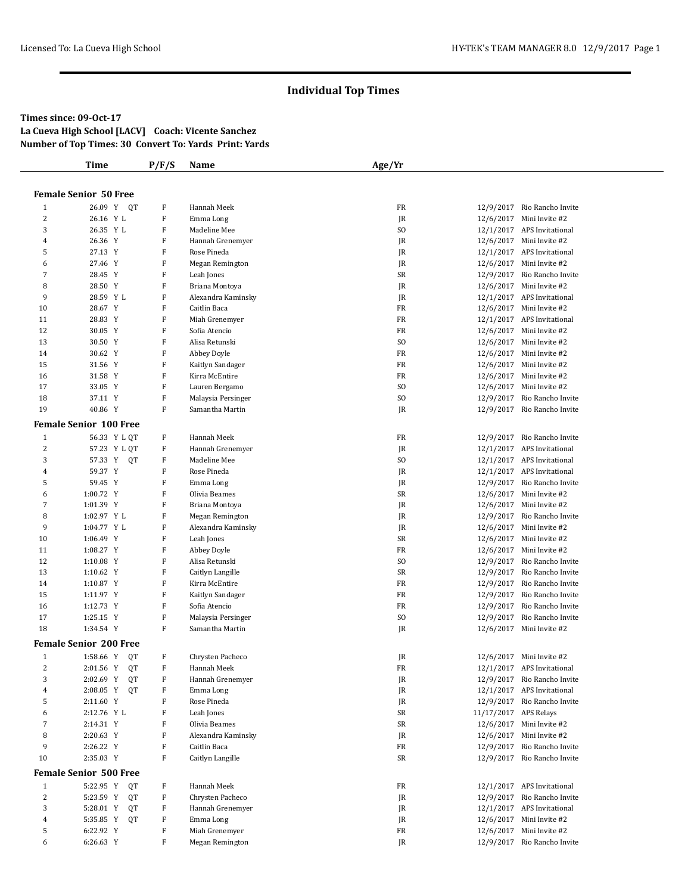#### **Times since: 09-Oct-17 La Cueva High School [LACV] Coach: Vicente Sanchez**

**Number of Top Times: 30 Convert To: Yards Print: Yards**

|                | Time                          | P/F/S        | Name               | Age/Yr         |                       |                             |
|----------------|-------------------------------|--------------|--------------------|----------------|-----------------------|-----------------------------|
|                |                               |              |                    |                |                       |                             |
|                | <b>Female Senior 50 Free</b>  |              |                    |                |                       |                             |
| $\mathbf{1}$   | 26.09 Y OT                    | $\, {\rm F}$ | Hannah Meek        | FR             |                       | 12/9/2017 Rio Rancho Invite |
| 2              | 26.16 Y L                     | F            | Emma Long          | JR             |                       | 12/6/2017 Mini Invite #2    |
| 3              | 26.35 Y L                     | F            | Madeline Mee       | S <sub>O</sub> |                       | 12/1/2017 APS Invitational  |
| $\overline{4}$ | 26.36 Y                       | F            | Hannah Grenemyer   | JR             |                       | 12/6/2017 Mini Invite #2    |
| 5              | 27.13 Y                       | F            | Rose Pineda        | JR             |                       | 12/1/2017 APS Invitational  |
| 6              | 27.46 Y                       | F            | Megan Remington    | JR             |                       | 12/6/2017 Mini Invite #2    |
| 7              | 28.45 Y                       | $\, {\rm F}$ | Leah Jones         | SR             |                       | 12/9/2017 Rio Rancho Invite |
| 8              | 28.50 Y                       | F            | Briana Montoya     | JR             |                       | 12/6/2017 Mini Invite #2    |
| 9              | 28.59 Y L                     | F            | Alexandra Kaminsky | JR             |                       | 12/1/2017 APS Invitational  |
| 10             | 28.67 Y                       | F            | Caitlin Baca       | FR             |                       | 12/6/2017 Mini Invite #2    |
| 11             | 28.83 Y                       | F            | Miah Grenemyer     | FR             |                       | 12/1/2017 APS Invitational  |
| 12             | 30.05 Y                       | F            | Sofia Atencio      | FR             |                       | 12/6/2017 Mini Invite #2    |
| 13             | 30.50 Y                       | $\, {\rm F}$ | Alisa Retunski     | S <sub>O</sub> |                       | 12/6/2017 Mini Invite #2    |
| 14             | 30.62 Y                       | F            | Abbey Doyle        | FR             |                       | 12/6/2017 Mini Invite #2    |
| 15             | 31.56 Y                       | F            | Kaitlyn Sandager   | FR             |                       | 12/6/2017 Mini Invite #2    |
| 16             | 31.58 Y                       | $\, {\rm F}$ | Kirra McEntire     | FR             |                       | 12/6/2017 Mini Invite #2    |
| 17             | 33.05 Y                       | F            | Lauren Bergamo     | S <sub>O</sub> |                       | 12/6/2017 Mini Invite #2    |
| 18             | 37.11 Y                       | F            | Malaysia Persinger | S <sub>O</sub> |                       | 12/9/2017 Rio Rancho Invite |
| 19             | 40.86 Y                       | F            | Samantha Martin    | JR             |                       | 12/9/2017 Rio Rancho Invite |
|                | <b>Female Senior 100 Free</b> |              |                    |                |                       |                             |
| $\mathbf{1}$   | 56.33 Y L QT                  | F            | Hannah Meek        | FR             |                       | 12/9/2017 Rio Rancho Invite |
| 2              | 57.23 Y L QT                  | $\, {\rm F}$ | Hannah Grenemyer   | JR             |                       | 12/1/2017 APS Invitational  |
| 3              | 57.33 Y QT                    | $\, {\rm F}$ | Madeline Mee       | S <sub>O</sub> |                       | 12/1/2017 APS Invitational  |
| $\overline{4}$ | 59.37 Y                       | F            | Rose Pineda        | JR             |                       | 12/1/2017 APS Invitational  |
| 5              | 59.45 Y                       | $\, {\rm F}$ | Emma Long          | JR             |                       | 12/9/2017 Rio Rancho Invite |
| 6              | 1:00.72 Y                     | F            | Olivia Beames      | SR             |                       | 12/6/2017 Mini Invite #2    |
| 7              | 1:01.39 Y                     | $\, {\rm F}$ | Briana Montoya     | JR             |                       | 12/6/2017 Mini Invite #2    |
| 8              | 1:02.97 Y L                   | F            | Megan Remington    | JR             |                       | 12/9/2017 Rio Rancho Invite |
| 9              | 1:04.77 Y L                   | F            | Alexandra Kaminsky | JR             |                       | 12/6/2017 Mini Invite #2    |
| 10             | 1:06.49 Y                     | $\, {\rm F}$ | Leah Jones         | SR             |                       | 12/6/2017 Mini Invite #2    |
| 11             | 1:08.27 Y                     | F            | Abbey Doyle        | FR             |                       | 12/6/2017 Mini Invite #2    |
| 12             | 1:10.08 Y                     | F            | Alisa Retunski     | S <sub>O</sub> |                       | 12/9/2017 Rio Rancho Invite |
| 13             | 1:10.62 Y                     | $\, {\rm F}$ | Caitlyn Langille   | SR             |                       | 12/9/2017 Rio Rancho Invite |
| 14             | 1:10.87 Y                     | F            | Kirra McEntire     | FR             |                       | 12/9/2017 Rio Rancho Invite |
| 15             | 1:11.97 Y                     | F            | Kaitlyn Sandager   | FR             |                       | 12/9/2017 Rio Rancho Invite |
| 16             | 1:12.73 Y                     | $\, {\rm F}$ | Sofia Atencio      | FR             |                       | 12/9/2017 Rio Rancho Invite |
| 17             | 1:25.15 Y                     | F            | Malaysia Persinger | SO.            |                       | 12/9/2017 Rio Rancho Invite |
| 18             | 1:34.54 Y                     | F            | Samantha Martin    | JR             |                       | 12/6/2017 Mini Invite #2    |
|                | <b>Female Senior 200 Free</b> |              |                    |                |                       |                             |
| $\mathbf{1}$   | 1:58.66 Y QT                  | F            | Chrysten Pacheco   | JR             |                       | 12/6/2017 Mini Invite #2    |
| 2              | 2:01.56 Y QT                  | F            | Hannah Meek        | FR             |                       | 12/1/2017 APS Invitational  |
| 3              | 2:02.69 Y<br>QT               | F            | Hannah Grenemyer   | JR             |                       | 12/9/2017 Rio Rancho Invite |
| 4              | 2:08.05 Y<br>QT               | F            | Emma Long          | JR             |                       | 12/1/2017 APS Invitational  |
| 5              | 2:11.60 Y                     | F            | Rose Pineda        | JR             |                       | 12/9/2017 Rio Rancho Invite |
| 6              | 2:12.76 Y L                   | F            | Leah Jones         | SR             | 11/17/2017 APS Relays |                             |
| 7              | 2:14.31 Y                     | F            | Olivia Beames      | SR             |                       | 12/6/2017 Mini Invite #2    |
| $\, 8$         | 2:20.63 Y                     | F            | Alexandra Kaminsky | JR             |                       | 12/6/2017 Mini Invite #2    |
| 9              | 2:26.22 Y                     | F            | Caitlin Baca       | FR             |                       | 12/9/2017 Rio Rancho Invite |
| 10             | 2:35.03 Y                     | F            | Caitlyn Langille   | SR             |                       | 12/9/2017 Rio Rancho Invite |
|                |                               |              |                    |                |                       |                             |
|                | <b>Female Senior 500 Free</b> |              |                    |                |                       |                             |
| $\mathbf{1}$   | 5:22.95 Y<br>QT               | F            | Hannah Meek        | FR             |                       | 12/1/2017 APS Invitational  |
| $\overline{c}$ | 5:23.59 Y<br>QT               | F            | Chrysten Pacheco   | JR             |                       | 12/9/2017 Rio Rancho Invite |
| 3              | 5:28.01 Y<br>QT               | F            | Hannah Grenemyer   | JR             |                       | 12/1/2017 APS Invitational  |
| 4              | 5:35.85 Y<br>QT               | F            | Emma Long          | JR             |                       | 12/6/2017 Mini Invite #2    |
| 5              | 6:22.92 Y                     | $\, {\rm F}$ | Miah Grenemyer     | FR             |                       | 12/6/2017 Mini Invite #2    |
| 6              | 6:26.63 Y                     | F            | Megan Remington    | JR             |                       | 12/9/2017 Rio Rancho Invite |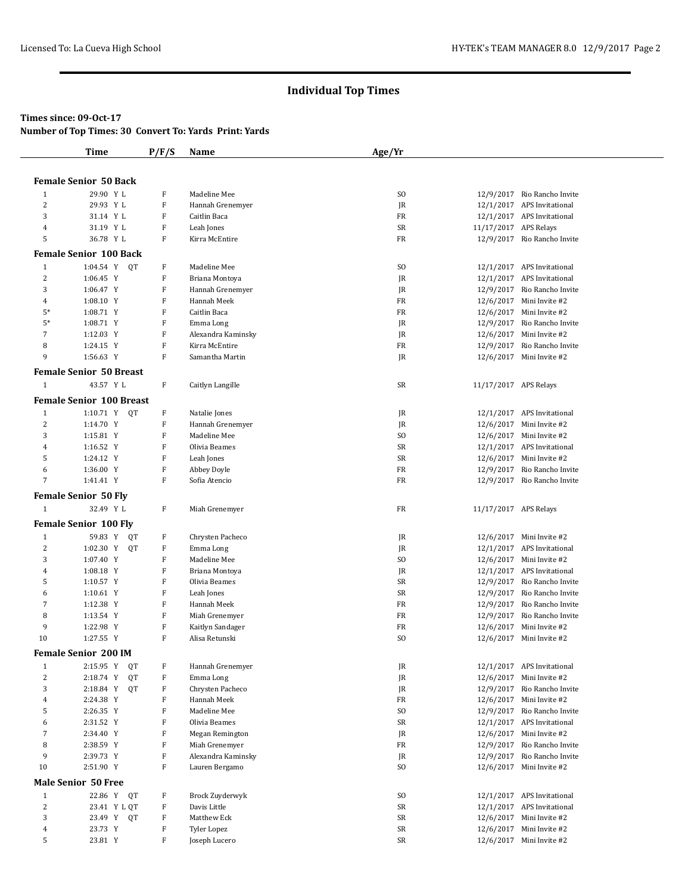### **Times since: 09-Oct-17**

**Number of Top Times: 30 Convert To: Yards Print: Yards**

| <b>Female Senior 50 Back</b><br>29.90 Y L<br>F<br>Madeline Mee<br>SO.<br>12/9/2017 Rio Rancho Invite<br>$\mathbf{1}$<br>$\overline{c}$<br>29.93 Y L<br>F<br>Hannah Grenemyer<br>JR<br>12/1/2017 APS Invitational<br>3<br>31.14 Y L<br>F<br>Caitlin Baca<br>FR<br>12/1/2017 APS Invitational<br>31.19 Y L<br>F<br>Leah Jones<br>SR<br>11/17/2017 APS Relays<br>4<br>5<br>36.78 Y L<br>F<br>Kirra McEntire<br>FR<br>12/9/2017 Rio Rancho Invite<br><b>Female Senior 100 Back</b><br>1:04.54 Y QT<br>F<br>Madeline Mee<br>12/1/2017 APS Invitational<br>$\mathbf{1}$<br>SO.<br>$\overline{c}$<br>F<br>12/1/2017 APS Invitational<br>1:06.45 Y<br>Briana Montoya<br>JR<br>3<br>1:06.47 Y<br>F<br>12/9/2017 Rio Rancho Invite<br>Hannah Grenemyer<br>JR<br>F<br>Hannah Meek<br>12/6/2017 Mini Invite #2<br>4<br>$1:08.10$ Y<br>FR<br>$5*$<br>F<br>Caitlin Baca<br>FR<br>12/6/2017 Mini Invite #2<br>1:08.71 Y<br>$5*$<br>F<br>12/9/2017 Rio Rancho Invite<br>1:08.71 Y<br>Emma Long<br>JR<br>7<br>F<br>Alexandra Kaminsky<br>12/6/2017 Mini Invite #2<br>1:12.03 Y<br>JR<br>8<br>F<br>Kirra McEntire<br>FR<br>12/9/2017 Rio Rancho Invite<br>1:24.15 Y<br>9<br>1:56.63 Y<br>F<br>Samantha Martin<br>JR<br>12/6/2017 Mini Invite #2<br><b>Female Senior 50 Breast</b><br>F<br>$\mathbf{1}$<br>43.57 Y L<br>Caitlyn Langille<br>SR<br>11/17/2017 APS Relays<br><b>Female Senior 100 Breast</b><br>1:10.71 Y QT<br>F<br>12/1/2017 APS Invitational<br>$\mathbf{1}$<br>Natalie Jones<br>JR<br>$\overline{c}$<br>F<br>12/6/2017 Mini Invite #2<br>1:14.70 Y<br>Hannah Grenemyer<br>JR<br>3<br>1:15.81 Y<br>F<br>SO.<br>12/6/2017 Mini Invite #2<br>Madeline Mee<br>$\overline{4}$<br>1:16.52 Y<br>F<br>Olivia Beames<br>SR<br>12/1/2017 APS Invitational<br>5<br>F<br>SR<br>12/6/2017 Mini Invite #2<br>1:24.12 Y<br>Leah Jones<br>6<br>1:36.00 Y<br>F<br>FR<br>12/9/2017 Rio Rancho Invite<br>Abbey Doyle<br>7<br>1:41.41 Y<br>F<br>FR<br>Sofia Atencio<br>12/9/2017 Rio Rancho Invite<br><b>Female Senior 50 Fly</b><br>32.49 Y L<br>F<br>Miah Grenemyer<br>FR<br>11/17/2017 APS Relays<br>$\mathbf{1}$<br><b>Female Senior 100 Fly</b><br>F<br>Chrysten Pacheco<br>12/6/2017 Mini Invite #2<br>1<br>59.83 Y QT<br>JR<br>2<br>F<br>1:02.30 Y<br>Emma Long<br>QT<br>JR<br>12/1/2017 APS Invitational<br>3<br>1:07.40 Y<br>F<br>SO.<br>12/6/2017 Mini Invite #2<br>Madeline Mee<br>F<br>Briana Montoya<br>12/1/2017 APS Invitational<br>4<br>1:08.18 Y<br>JR<br>F<br>5<br>Olivia Beames<br>SR<br>12/9/2017 Rio Rancho Invite<br>1:10.57 Y<br>F<br>Leah Jones<br>SR<br>6<br>1:10.61 Y<br>12/9/2017 Rio Rancho Invite<br>7<br>F<br>Hannah Meek<br>1:12.38 Y<br>FR<br>12/9/2017 Rio Rancho Invite<br>F<br>8<br>1:13.54 Y<br>Miah Grenemyer<br>FR<br>12/9/2017 Rio Rancho Invite<br>9<br>1:22.98 Y<br>F<br>Kaitlyn Sandager<br>FR<br>12/6/2017 Mini Invite #2<br>10<br>F<br>S <sub>O</sub><br>1:27.55 Y<br>Alisa Retunski<br>12/6/2017 Mini Invite #2<br><b>Female Senior 200 IM</b><br>Hannah Grenemyer<br>$\mathbf{1}$<br>2:15.95 Y<br>QT<br>F<br>JR<br>12/1/2017 APS Invitational<br>$\overline{c}$<br>2:18.74 Y<br>QT<br>F<br>Emma Long<br>JR<br>12/6/2017 Mini Invite #2<br>3<br>F<br>2:18.84 Y<br>QT<br>Chrysten Pacheco<br>12/9/2017 Rio Rancho Invite<br>JR<br>$\overline{4}$<br>2:24.38 Y<br>F<br>Hannah Meek<br>FR<br>12/6/2017 Mini Invite #2<br>F<br>5<br>2:26.35 Y<br>Madeline Mee<br>SO.<br>12/9/2017 Rio Rancho Invite<br>F<br>6<br>2:31.52 Y<br>Olivia Beames<br>SR<br>12/1/2017 APS Invitational<br>7<br>2:34.40 Y<br>F<br>Megan Remington<br>JR<br>12/6/2017 Mini Invite #2<br>8<br>2:38.59 Y<br>F<br>Miah Grenemyer<br>FR<br>12/9/2017 Rio Rancho Invite<br>9<br>F<br>2:39.73 Y<br>Alexandra Kaminsky<br>12/9/2017 Rio Rancho Invite<br>JR<br>10<br>2:51.90 Y<br>F<br>Lauren Bergamo<br>SO.<br>12/6/2017 Mini Invite #2 | Time | P/F/S | <b>Name</b> | Age/Yr |  |
|------------------------------------------------------------------------------------------------------------------------------------------------------------------------------------------------------------------------------------------------------------------------------------------------------------------------------------------------------------------------------------------------------------------------------------------------------------------------------------------------------------------------------------------------------------------------------------------------------------------------------------------------------------------------------------------------------------------------------------------------------------------------------------------------------------------------------------------------------------------------------------------------------------------------------------------------------------------------------------------------------------------------------------------------------------------------------------------------------------------------------------------------------------------------------------------------------------------------------------------------------------------------------------------------------------------------------------------------------------------------------------------------------------------------------------------------------------------------------------------------------------------------------------------------------------------------------------------------------------------------------------------------------------------------------------------------------------------------------------------------------------------------------------------------------------------------------------------------------------------------------------------------------------------------------------------------------------------------------------------------------------------------------------------------------------------------------------------------------------------------------------------------------------------------------------------------------------------------------------------------------------------------------------------------------------------------------------------------------------------------------------------------------------------------------------------------------------------------------------------------------------------------------------------------------------------------------------------------------------------------------------------------------------------------------------------------------------------------------------------------------------------------------------------------------------------------------------------------------------------------------------------------------------------------------------------------------------------------------------------------------------------------------------------------------------------------------------------------------------------------------------------------------------------------------------------------------------------------------------------------------------------------------------------------------------------------------------------------------------------------------------------------------------------------------------------------------------------------------------------------------------------------------------------------------------------------------------------------------------------------------------------------------------------------------------------------------------------------------------------------------------------------------------------------------------------------------|------|-------|-------------|--------|--|
|                                                                                                                                                                                                                                                                                                                                                                                                                                                                                                                                                                                                                                                                                                                                                                                                                                                                                                                                                                                                                                                                                                                                                                                                                                                                                                                                                                                                                                                                                                                                                                                                                                                                                                                                                                                                                                                                                                                                                                                                                                                                                                                                                                                                                                                                                                                                                                                                                                                                                                                                                                                                                                                                                                                                                                                                                                                                                                                                                                                                                                                                                                                                                                                                                                                                                                                                                                                                                                                                                                                                                                                                                                                                                                                                                                                                                              |      |       |             |        |  |
|                                                                                                                                                                                                                                                                                                                                                                                                                                                                                                                                                                                                                                                                                                                                                                                                                                                                                                                                                                                                                                                                                                                                                                                                                                                                                                                                                                                                                                                                                                                                                                                                                                                                                                                                                                                                                                                                                                                                                                                                                                                                                                                                                                                                                                                                                                                                                                                                                                                                                                                                                                                                                                                                                                                                                                                                                                                                                                                                                                                                                                                                                                                                                                                                                                                                                                                                                                                                                                                                                                                                                                                                                                                                                                                                                                                                                              |      |       |             |        |  |
|                                                                                                                                                                                                                                                                                                                                                                                                                                                                                                                                                                                                                                                                                                                                                                                                                                                                                                                                                                                                                                                                                                                                                                                                                                                                                                                                                                                                                                                                                                                                                                                                                                                                                                                                                                                                                                                                                                                                                                                                                                                                                                                                                                                                                                                                                                                                                                                                                                                                                                                                                                                                                                                                                                                                                                                                                                                                                                                                                                                                                                                                                                                                                                                                                                                                                                                                                                                                                                                                                                                                                                                                                                                                                                                                                                                                                              |      |       |             |        |  |
|                                                                                                                                                                                                                                                                                                                                                                                                                                                                                                                                                                                                                                                                                                                                                                                                                                                                                                                                                                                                                                                                                                                                                                                                                                                                                                                                                                                                                                                                                                                                                                                                                                                                                                                                                                                                                                                                                                                                                                                                                                                                                                                                                                                                                                                                                                                                                                                                                                                                                                                                                                                                                                                                                                                                                                                                                                                                                                                                                                                                                                                                                                                                                                                                                                                                                                                                                                                                                                                                                                                                                                                                                                                                                                                                                                                                                              |      |       |             |        |  |
|                                                                                                                                                                                                                                                                                                                                                                                                                                                                                                                                                                                                                                                                                                                                                                                                                                                                                                                                                                                                                                                                                                                                                                                                                                                                                                                                                                                                                                                                                                                                                                                                                                                                                                                                                                                                                                                                                                                                                                                                                                                                                                                                                                                                                                                                                                                                                                                                                                                                                                                                                                                                                                                                                                                                                                                                                                                                                                                                                                                                                                                                                                                                                                                                                                                                                                                                                                                                                                                                                                                                                                                                                                                                                                                                                                                                                              |      |       |             |        |  |
|                                                                                                                                                                                                                                                                                                                                                                                                                                                                                                                                                                                                                                                                                                                                                                                                                                                                                                                                                                                                                                                                                                                                                                                                                                                                                                                                                                                                                                                                                                                                                                                                                                                                                                                                                                                                                                                                                                                                                                                                                                                                                                                                                                                                                                                                                                                                                                                                                                                                                                                                                                                                                                                                                                                                                                                                                                                                                                                                                                                                                                                                                                                                                                                                                                                                                                                                                                                                                                                                                                                                                                                                                                                                                                                                                                                                                              |      |       |             |        |  |
|                                                                                                                                                                                                                                                                                                                                                                                                                                                                                                                                                                                                                                                                                                                                                                                                                                                                                                                                                                                                                                                                                                                                                                                                                                                                                                                                                                                                                                                                                                                                                                                                                                                                                                                                                                                                                                                                                                                                                                                                                                                                                                                                                                                                                                                                                                                                                                                                                                                                                                                                                                                                                                                                                                                                                                                                                                                                                                                                                                                                                                                                                                                                                                                                                                                                                                                                                                                                                                                                                                                                                                                                                                                                                                                                                                                                                              |      |       |             |        |  |
|                                                                                                                                                                                                                                                                                                                                                                                                                                                                                                                                                                                                                                                                                                                                                                                                                                                                                                                                                                                                                                                                                                                                                                                                                                                                                                                                                                                                                                                                                                                                                                                                                                                                                                                                                                                                                                                                                                                                                                                                                                                                                                                                                                                                                                                                                                                                                                                                                                                                                                                                                                                                                                                                                                                                                                                                                                                                                                                                                                                                                                                                                                                                                                                                                                                                                                                                                                                                                                                                                                                                                                                                                                                                                                                                                                                                                              |      |       |             |        |  |
|                                                                                                                                                                                                                                                                                                                                                                                                                                                                                                                                                                                                                                                                                                                                                                                                                                                                                                                                                                                                                                                                                                                                                                                                                                                                                                                                                                                                                                                                                                                                                                                                                                                                                                                                                                                                                                                                                                                                                                                                                                                                                                                                                                                                                                                                                                                                                                                                                                                                                                                                                                                                                                                                                                                                                                                                                                                                                                                                                                                                                                                                                                                                                                                                                                                                                                                                                                                                                                                                                                                                                                                                                                                                                                                                                                                                                              |      |       |             |        |  |
|                                                                                                                                                                                                                                                                                                                                                                                                                                                                                                                                                                                                                                                                                                                                                                                                                                                                                                                                                                                                                                                                                                                                                                                                                                                                                                                                                                                                                                                                                                                                                                                                                                                                                                                                                                                                                                                                                                                                                                                                                                                                                                                                                                                                                                                                                                                                                                                                                                                                                                                                                                                                                                                                                                                                                                                                                                                                                                                                                                                                                                                                                                                                                                                                                                                                                                                                                                                                                                                                                                                                                                                                                                                                                                                                                                                                                              |      |       |             |        |  |
|                                                                                                                                                                                                                                                                                                                                                                                                                                                                                                                                                                                                                                                                                                                                                                                                                                                                                                                                                                                                                                                                                                                                                                                                                                                                                                                                                                                                                                                                                                                                                                                                                                                                                                                                                                                                                                                                                                                                                                                                                                                                                                                                                                                                                                                                                                                                                                                                                                                                                                                                                                                                                                                                                                                                                                                                                                                                                                                                                                                                                                                                                                                                                                                                                                                                                                                                                                                                                                                                                                                                                                                                                                                                                                                                                                                                                              |      |       |             |        |  |
|                                                                                                                                                                                                                                                                                                                                                                                                                                                                                                                                                                                                                                                                                                                                                                                                                                                                                                                                                                                                                                                                                                                                                                                                                                                                                                                                                                                                                                                                                                                                                                                                                                                                                                                                                                                                                                                                                                                                                                                                                                                                                                                                                                                                                                                                                                                                                                                                                                                                                                                                                                                                                                                                                                                                                                                                                                                                                                                                                                                                                                                                                                                                                                                                                                                                                                                                                                                                                                                                                                                                                                                                                                                                                                                                                                                                                              |      |       |             |        |  |
|                                                                                                                                                                                                                                                                                                                                                                                                                                                                                                                                                                                                                                                                                                                                                                                                                                                                                                                                                                                                                                                                                                                                                                                                                                                                                                                                                                                                                                                                                                                                                                                                                                                                                                                                                                                                                                                                                                                                                                                                                                                                                                                                                                                                                                                                                                                                                                                                                                                                                                                                                                                                                                                                                                                                                                                                                                                                                                                                                                                                                                                                                                                                                                                                                                                                                                                                                                                                                                                                                                                                                                                                                                                                                                                                                                                                                              |      |       |             |        |  |
|                                                                                                                                                                                                                                                                                                                                                                                                                                                                                                                                                                                                                                                                                                                                                                                                                                                                                                                                                                                                                                                                                                                                                                                                                                                                                                                                                                                                                                                                                                                                                                                                                                                                                                                                                                                                                                                                                                                                                                                                                                                                                                                                                                                                                                                                                                                                                                                                                                                                                                                                                                                                                                                                                                                                                                                                                                                                                                                                                                                                                                                                                                                                                                                                                                                                                                                                                                                                                                                                                                                                                                                                                                                                                                                                                                                                                              |      |       |             |        |  |
|                                                                                                                                                                                                                                                                                                                                                                                                                                                                                                                                                                                                                                                                                                                                                                                                                                                                                                                                                                                                                                                                                                                                                                                                                                                                                                                                                                                                                                                                                                                                                                                                                                                                                                                                                                                                                                                                                                                                                                                                                                                                                                                                                                                                                                                                                                                                                                                                                                                                                                                                                                                                                                                                                                                                                                                                                                                                                                                                                                                                                                                                                                                                                                                                                                                                                                                                                                                                                                                                                                                                                                                                                                                                                                                                                                                                                              |      |       |             |        |  |
|                                                                                                                                                                                                                                                                                                                                                                                                                                                                                                                                                                                                                                                                                                                                                                                                                                                                                                                                                                                                                                                                                                                                                                                                                                                                                                                                                                                                                                                                                                                                                                                                                                                                                                                                                                                                                                                                                                                                                                                                                                                                                                                                                                                                                                                                                                                                                                                                                                                                                                                                                                                                                                                                                                                                                                                                                                                                                                                                                                                                                                                                                                                                                                                                                                                                                                                                                                                                                                                                                                                                                                                                                                                                                                                                                                                                                              |      |       |             |        |  |
|                                                                                                                                                                                                                                                                                                                                                                                                                                                                                                                                                                                                                                                                                                                                                                                                                                                                                                                                                                                                                                                                                                                                                                                                                                                                                                                                                                                                                                                                                                                                                                                                                                                                                                                                                                                                                                                                                                                                                                                                                                                                                                                                                                                                                                                                                                                                                                                                                                                                                                                                                                                                                                                                                                                                                                                                                                                                                                                                                                                                                                                                                                                                                                                                                                                                                                                                                                                                                                                                                                                                                                                                                                                                                                                                                                                                                              |      |       |             |        |  |
|                                                                                                                                                                                                                                                                                                                                                                                                                                                                                                                                                                                                                                                                                                                                                                                                                                                                                                                                                                                                                                                                                                                                                                                                                                                                                                                                                                                                                                                                                                                                                                                                                                                                                                                                                                                                                                                                                                                                                                                                                                                                                                                                                                                                                                                                                                                                                                                                                                                                                                                                                                                                                                                                                                                                                                                                                                                                                                                                                                                                                                                                                                                                                                                                                                                                                                                                                                                                                                                                                                                                                                                                                                                                                                                                                                                                                              |      |       |             |        |  |
|                                                                                                                                                                                                                                                                                                                                                                                                                                                                                                                                                                                                                                                                                                                                                                                                                                                                                                                                                                                                                                                                                                                                                                                                                                                                                                                                                                                                                                                                                                                                                                                                                                                                                                                                                                                                                                                                                                                                                                                                                                                                                                                                                                                                                                                                                                                                                                                                                                                                                                                                                                                                                                                                                                                                                                                                                                                                                                                                                                                                                                                                                                                                                                                                                                                                                                                                                                                                                                                                                                                                                                                                                                                                                                                                                                                                                              |      |       |             |        |  |
|                                                                                                                                                                                                                                                                                                                                                                                                                                                                                                                                                                                                                                                                                                                                                                                                                                                                                                                                                                                                                                                                                                                                                                                                                                                                                                                                                                                                                                                                                                                                                                                                                                                                                                                                                                                                                                                                                                                                                                                                                                                                                                                                                                                                                                                                                                                                                                                                                                                                                                                                                                                                                                                                                                                                                                                                                                                                                                                                                                                                                                                                                                                                                                                                                                                                                                                                                                                                                                                                                                                                                                                                                                                                                                                                                                                                                              |      |       |             |        |  |
|                                                                                                                                                                                                                                                                                                                                                                                                                                                                                                                                                                                                                                                                                                                                                                                                                                                                                                                                                                                                                                                                                                                                                                                                                                                                                                                                                                                                                                                                                                                                                                                                                                                                                                                                                                                                                                                                                                                                                                                                                                                                                                                                                                                                                                                                                                                                                                                                                                                                                                                                                                                                                                                                                                                                                                                                                                                                                                                                                                                                                                                                                                                                                                                                                                                                                                                                                                                                                                                                                                                                                                                                                                                                                                                                                                                                                              |      |       |             |        |  |
|                                                                                                                                                                                                                                                                                                                                                                                                                                                                                                                                                                                                                                                                                                                                                                                                                                                                                                                                                                                                                                                                                                                                                                                                                                                                                                                                                                                                                                                                                                                                                                                                                                                                                                                                                                                                                                                                                                                                                                                                                                                                                                                                                                                                                                                                                                                                                                                                                                                                                                                                                                                                                                                                                                                                                                                                                                                                                                                                                                                                                                                                                                                                                                                                                                                                                                                                                                                                                                                                                                                                                                                                                                                                                                                                                                                                                              |      |       |             |        |  |
|                                                                                                                                                                                                                                                                                                                                                                                                                                                                                                                                                                                                                                                                                                                                                                                                                                                                                                                                                                                                                                                                                                                                                                                                                                                                                                                                                                                                                                                                                                                                                                                                                                                                                                                                                                                                                                                                                                                                                                                                                                                                                                                                                                                                                                                                                                                                                                                                                                                                                                                                                                                                                                                                                                                                                                                                                                                                                                                                                                                                                                                                                                                                                                                                                                                                                                                                                                                                                                                                                                                                                                                                                                                                                                                                                                                                                              |      |       |             |        |  |
|                                                                                                                                                                                                                                                                                                                                                                                                                                                                                                                                                                                                                                                                                                                                                                                                                                                                                                                                                                                                                                                                                                                                                                                                                                                                                                                                                                                                                                                                                                                                                                                                                                                                                                                                                                                                                                                                                                                                                                                                                                                                                                                                                                                                                                                                                                                                                                                                                                                                                                                                                                                                                                                                                                                                                                                                                                                                                                                                                                                                                                                                                                                                                                                                                                                                                                                                                                                                                                                                                                                                                                                                                                                                                                                                                                                                                              |      |       |             |        |  |
|                                                                                                                                                                                                                                                                                                                                                                                                                                                                                                                                                                                                                                                                                                                                                                                                                                                                                                                                                                                                                                                                                                                                                                                                                                                                                                                                                                                                                                                                                                                                                                                                                                                                                                                                                                                                                                                                                                                                                                                                                                                                                                                                                                                                                                                                                                                                                                                                                                                                                                                                                                                                                                                                                                                                                                                                                                                                                                                                                                                                                                                                                                                                                                                                                                                                                                                                                                                                                                                                                                                                                                                                                                                                                                                                                                                                                              |      |       |             |        |  |
|                                                                                                                                                                                                                                                                                                                                                                                                                                                                                                                                                                                                                                                                                                                                                                                                                                                                                                                                                                                                                                                                                                                                                                                                                                                                                                                                                                                                                                                                                                                                                                                                                                                                                                                                                                                                                                                                                                                                                                                                                                                                                                                                                                                                                                                                                                                                                                                                                                                                                                                                                                                                                                                                                                                                                                                                                                                                                                                                                                                                                                                                                                                                                                                                                                                                                                                                                                                                                                                                                                                                                                                                                                                                                                                                                                                                                              |      |       |             |        |  |
|                                                                                                                                                                                                                                                                                                                                                                                                                                                                                                                                                                                                                                                                                                                                                                                                                                                                                                                                                                                                                                                                                                                                                                                                                                                                                                                                                                                                                                                                                                                                                                                                                                                                                                                                                                                                                                                                                                                                                                                                                                                                                                                                                                                                                                                                                                                                                                                                                                                                                                                                                                                                                                                                                                                                                                                                                                                                                                                                                                                                                                                                                                                                                                                                                                                                                                                                                                                                                                                                                                                                                                                                                                                                                                                                                                                                                              |      |       |             |        |  |
|                                                                                                                                                                                                                                                                                                                                                                                                                                                                                                                                                                                                                                                                                                                                                                                                                                                                                                                                                                                                                                                                                                                                                                                                                                                                                                                                                                                                                                                                                                                                                                                                                                                                                                                                                                                                                                                                                                                                                                                                                                                                                                                                                                                                                                                                                                                                                                                                                                                                                                                                                                                                                                                                                                                                                                                                                                                                                                                                                                                                                                                                                                                                                                                                                                                                                                                                                                                                                                                                                                                                                                                                                                                                                                                                                                                                                              |      |       |             |        |  |
|                                                                                                                                                                                                                                                                                                                                                                                                                                                                                                                                                                                                                                                                                                                                                                                                                                                                                                                                                                                                                                                                                                                                                                                                                                                                                                                                                                                                                                                                                                                                                                                                                                                                                                                                                                                                                                                                                                                                                                                                                                                                                                                                                                                                                                                                                                                                                                                                                                                                                                                                                                                                                                                                                                                                                                                                                                                                                                                                                                                                                                                                                                                                                                                                                                                                                                                                                                                                                                                                                                                                                                                                                                                                                                                                                                                                                              |      |       |             |        |  |
|                                                                                                                                                                                                                                                                                                                                                                                                                                                                                                                                                                                                                                                                                                                                                                                                                                                                                                                                                                                                                                                                                                                                                                                                                                                                                                                                                                                                                                                                                                                                                                                                                                                                                                                                                                                                                                                                                                                                                                                                                                                                                                                                                                                                                                                                                                                                                                                                                                                                                                                                                                                                                                                                                                                                                                                                                                                                                                                                                                                                                                                                                                                                                                                                                                                                                                                                                                                                                                                                                                                                                                                                                                                                                                                                                                                                                              |      |       |             |        |  |
|                                                                                                                                                                                                                                                                                                                                                                                                                                                                                                                                                                                                                                                                                                                                                                                                                                                                                                                                                                                                                                                                                                                                                                                                                                                                                                                                                                                                                                                                                                                                                                                                                                                                                                                                                                                                                                                                                                                                                                                                                                                                                                                                                                                                                                                                                                                                                                                                                                                                                                                                                                                                                                                                                                                                                                                                                                                                                                                                                                                                                                                                                                                                                                                                                                                                                                                                                                                                                                                                                                                                                                                                                                                                                                                                                                                                                              |      |       |             |        |  |
|                                                                                                                                                                                                                                                                                                                                                                                                                                                                                                                                                                                                                                                                                                                                                                                                                                                                                                                                                                                                                                                                                                                                                                                                                                                                                                                                                                                                                                                                                                                                                                                                                                                                                                                                                                                                                                                                                                                                                                                                                                                                                                                                                                                                                                                                                                                                                                                                                                                                                                                                                                                                                                                                                                                                                                                                                                                                                                                                                                                                                                                                                                                                                                                                                                                                                                                                                                                                                                                                                                                                                                                                                                                                                                                                                                                                                              |      |       |             |        |  |
|                                                                                                                                                                                                                                                                                                                                                                                                                                                                                                                                                                                                                                                                                                                                                                                                                                                                                                                                                                                                                                                                                                                                                                                                                                                                                                                                                                                                                                                                                                                                                                                                                                                                                                                                                                                                                                                                                                                                                                                                                                                                                                                                                                                                                                                                                                                                                                                                                                                                                                                                                                                                                                                                                                                                                                                                                                                                                                                                                                                                                                                                                                                                                                                                                                                                                                                                                                                                                                                                                                                                                                                                                                                                                                                                                                                                                              |      |       |             |        |  |
|                                                                                                                                                                                                                                                                                                                                                                                                                                                                                                                                                                                                                                                                                                                                                                                                                                                                                                                                                                                                                                                                                                                                                                                                                                                                                                                                                                                                                                                                                                                                                                                                                                                                                                                                                                                                                                                                                                                                                                                                                                                                                                                                                                                                                                                                                                                                                                                                                                                                                                                                                                                                                                                                                                                                                                                                                                                                                                                                                                                                                                                                                                                                                                                                                                                                                                                                                                                                                                                                                                                                                                                                                                                                                                                                                                                                                              |      |       |             |        |  |
|                                                                                                                                                                                                                                                                                                                                                                                                                                                                                                                                                                                                                                                                                                                                                                                                                                                                                                                                                                                                                                                                                                                                                                                                                                                                                                                                                                                                                                                                                                                                                                                                                                                                                                                                                                                                                                                                                                                                                                                                                                                                                                                                                                                                                                                                                                                                                                                                                                                                                                                                                                                                                                                                                                                                                                                                                                                                                                                                                                                                                                                                                                                                                                                                                                                                                                                                                                                                                                                                                                                                                                                                                                                                                                                                                                                                                              |      |       |             |        |  |
|                                                                                                                                                                                                                                                                                                                                                                                                                                                                                                                                                                                                                                                                                                                                                                                                                                                                                                                                                                                                                                                                                                                                                                                                                                                                                                                                                                                                                                                                                                                                                                                                                                                                                                                                                                                                                                                                                                                                                                                                                                                                                                                                                                                                                                                                                                                                                                                                                                                                                                                                                                                                                                                                                                                                                                                                                                                                                                                                                                                                                                                                                                                                                                                                                                                                                                                                                                                                                                                                                                                                                                                                                                                                                                                                                                                                                              |      |       |             |        |  |
|                                                                                                                                                                                                                                                                                                                                                                                                                                                                                                                                                                                                                                                                                                                                                                                                                                                                                                                                                                                                                                                                                                                                                                                                                                                                                                                                                                                                                                                                                                                                                                                                                                                                                                                                                                                                                                                                                                                                                                                                                                                                                                                                                                                                                                                                                                                                                                                                                                                                                                                                                                                                                                                                                                                                                                                                                                                                                                                                                                                                                                                                                                                                                                                                                                                                                                                                                                                                                                                                                                                                                                                                                                                                                                                                                                                                                              |      |       |             |        |  |
|                                                                                                                                                                                                                                                                                                                                                                                                                                                                                                                                                                                                                                                                                                                                                                                                                                                                                                                                                                                                                                                                                                                                                                                                                                                                                                                                                                                                                                                                                                                                                                                                                                                                                                                                                                                                                                                                                                                                                                                                                                                                                                                                                                                                                                                                                                                                                                                                                                                                                                                                                                                                                                                                                                                                                                                                                                                                                                                                                                                                                                                                                                                                                                                                                                                                                                                                                                                                                                                                                                                                                                                                                                                                                                                                                                                                                              |      |       |             |        |  |
|                                                                                                                                                                                                                                                                                                                                                                                                                                                                                                                                                                                                                                                                                                                                                                                                                                                                                                                                                                                                                                                                                                                                                                                                                                                                                                                                                                                                                                                                                                                                                                                                                                                                                                                                                                                                                                                                                                                                                                                                                                                                                                                                                                                                                                                                                                                                                                                                                                                                                                                                                                                                                                                                                                                                                                                                                                                                                                                                                                                                                                                                                                                                                                                                                                                                                                                                                                                                                                                                                                                                                                                                                                                                                                                                                                                                                              |      |       |             |        |  |
|                                                                                                                                                                                                                                                                                                                                                                                                                                                                                                                                                                                                                                                                                                                                                                                                                                                                                                                                                                                                                                                                                                                                                                                                                                                                                                                                                                                                                                                                                                                                                                                                                                                                                                                                                                                                                                                                                                                                                                                                                                                                                                                                                                                                                                                                                                                                                                                                                                                                                                                                                                                                                                                                                                                                                                                                                                                                                                                                                                                                                                                                                                                                                                                                                                                                                                                                                                                                                                                                                                                                                                                                                                                                                                                                                                                                                              |      |       |             |        |  |
|                                                                                                                                                                                                                                                                                                                                                                                                                                                                                                                                                                                                                                                                                                                                                                                                                                                                                                                                                                                                                                                                                                                                                                                                                                                                                                                                                                                                                                                                                                                                                                                                                                                                                                                                                                                                                                                                                                                                                                                                                                                                                                                                                                                                                                                                                                                                                                                                                                                                                                                                                                                                                                                                                                                                                                                                                                                                                                                                                                                                                                                                                                                                                                                                                                                                                                                                                                                                                                                                                                                                                                                                                                                                                                                                                                                                                              |      |       |             |        |  |
|                                                                                                                                                                                                                                                                                                                                                                                                                                                                                                                                                                                                                                                                                                                                                                                                                                                                                                                                                                                                                                                                                                                                                                                                                                                                                                                                                                                                                                                                                                                                                                                                                                                                                                                                                                                                                                                                                                                                                                                                                                                                                                                                                                                                                                                                                                                                                                                                                                                                                                                                                                                                                                                                                                                                                                                                                                                                                                                                                                                                                                                                                                                                                                                                                                                                                                                                                                                                                                                                                                                                                                                                                                                                                                                                                                                                                              |      |       |             |        |  |
|                                                                                                                                                                                                                                                                                                                                                                                                                                                                                                                                                                                                                                                                                                                                                                                                                                                                                                                                                                                                                                                                                                                                                                                                                                                                                                                                                                                                                                                                                                                                                                                                                                                                                                                                                                                                                                                                                                                                                                                                                                                                                                                                                                                                                                                                                                                                                                                                                                                                                                                                                                                                                                                                                                                                                                                                                                                                                                                                                                                                                                                                                                                                                                                                                                                                                                                                                                                                                                                                                                                                                                                                                                                                                                                                                                                                                              |      |       |             |        |  |
|                                                                                                                                                                                                                                                                                                                                                                                                                                                                                                                                                                                                                                                                                                                                                                                                                                                                                                                                                                                                                                                                                                                                                                                                                                                                                                                                                                                                                                                                                                                                                                                                                                                                                                                                                                                                                                                                                                                                                                                                                                                                                                                                                                                                                                                                                                                                                                                                                                                                                                                                                                                                                                                                                                                                                                                                                                                                                                                                                                                                                                                                                                                                                                                                                                                                                                                                                                                                                                                                                                                                                                                                                                                                                                                                                                                                                              |      |       |             |        |  |
|                                                                                                                                                                                                                                                                                                                                                                                                                                                                                                                                                                                                                                                                                                                                                                                                                                                                                                                                                                                                                                                                                                                                                                                                                                                                                                                                                                                                                                                                                                                                                                                                                                                                                                                                                                                                                                                                                                                                                                                                                                                                                                                                                                                                                                                                                                                                                                                                                                                                                                                                                                                                                                                                                                                                                                                                                                                                                                                                                                                                                                                                                                                                                                                                                                                                                                                                                                                                                                                                                                                                                                                                                                                                                                                                                                                                                              |      |       |             |        |  |
|                                                                                                                                                                                                                                                                                                                                                                                                                                                                                                                                                                                                                                                                                                                                                                                                                                                                                                                                                                                                                                                                                                                                                                                                                                                                                                                                                                                                                                                                                                                                                                                                                                                                                                                                                                                                                                                                                                                                                                                                                                                                                                                                                                                                                                                                                                                                                                                                                                                                                                                                                                                                                                                                                                                                                                                                                                                                                                                                                                                                                                                                                                                                                                                                                                                                                                                                                                                                                                                                                                                                                                                                                                                                                                                                                                                                                              |      |       |             |        |  |
|                                                                                                                                                                                                                                                                                                                                                                                                                                                                                                                                                                                                                                                                                                                                                                                                                                                                                                                                                                                                                                                                                                                                                                                                                                                                                                                                                                                                                                                                                                                                                                                                                                                                                                                                                                                                                                                                                                                                                                                                                                                                                                                                                                                                                                                                                                                                                                                                                                                                                                                                                                                                                                                                                                                                                                                                                                                                                                                                                                                                                                                                                                                                                                                                                                                                                                                                                                                                                                                                                                                                                                                                                                                                                                                                                                                                                              |      |       |             |        |  |
|                                                                                                                                                                                                                                                                                                                                                                                                                                                                                                                                                                                                                                                                                                                                                                                                                                                                                                                                                                                                                                                                                                                                                                                                                                                                                                                                                                                                                                                                                                                                                                                                                                                                                                                                                                                                                                                                                                                                                                                                                                                                                                                                                                                                                                                                                                                                                                                                                                                                                                                                                                                                                                                                                                                                                                                                                                                                                                                                                                                                                                                                                                                                                                                                                                                                                                                                                                                                                                                                                                                                                                                                                                                                                                                                                                                                                              |      |       |             |        |  |
|                                                                                                                                                                                                                                                                                                                                                                                                                                                                                                                                                                                                                                                                                                                                                                                                                                                                                                                                                                                                                                                                                                                                                                                                                                                                                                                                                                                                                                                                                                                                                                                                                                                                                                                                                                                                                                                                                                                                                                                                                                                                                                                                                                                                                                                                                                                                                                                                                                                                                                                                                                                                                                                                                                                                                                                                                                                                                                                                                                                                                                                                                                                                                                                                                                                                                                                                                                                                                                                                                                                                                                                                                                                                                                                                                                                                                              |      |       |             |        |  |
|                                                                                                                                                                                                                                                                                                                                                                                                                                                                                                                                                                                                                                                                                                                                                                                                                                                                                                                                                                                                                                                                                                                                                                                                                                                                                                                                                                                                                                                                                                                                                                                                                                                                                                                                                                                                                                                                                                                                                                                                                                                                                                                                                                                                                                                                                                                                                                                                                                                                                                                                                                                                                                                                                                                                                                                                                                                                                                                                                                                                                                                                                                                                                                                                                                                                                                                                                                                                                                                                                                                                                                                                                                                                                                                                                                                                                              |      |       |             |        |  |
|                                                                                                                                                                                                                                                                                                                                                                                                                                                                                                                                                                                                                                                                                                                                                                                                                                                                                                                                                                                                                                                                                                                                                                                                                                                                                                                                                                                                                                                                                                                                                                                                                                                                                                                                                                                                                                                                                                                                                                                                                                                                                                                                                                                                                                                                                                                                                                                                                                                                                                                                                                                                                                                                                                                                                                                                                                                                                                                                                                                                                                                                                                                                                                                                                                                                                                                                                                                                                                                                                                                                                                                                                                                                                                                                                                                                                              |      |       |             |        |  |
|                                                                                                                                                                                                                                                                                                                                                                                                                                                                                                                                                                                                                                                                                                                                                                                                                                                                                                                                                                                                                                                                                                                                                                                                                                                                                                                                                                                                                                                                                                                                                                                                                                                                                                                                                                                                                                                                                                                                                                                                                                                                                                                                                                                                                                                                                                                                                                                                                                                                                                                                                                                                                                                                                                                                                                                                                                                                                                                                                                                                                                                                                                                                                                                                                                                                                                                                                                                                                                                                                                                                                                                                                                                                                                                                                                                                                              |      |       |             |        |  |
| <b>Male Senior 50 Free</b>                                                                                                                                                                                                                                                                                                                                                                                                                                                                                                                                                                                                                                                                                                                                                                                                                                                                                                                                                                                                                                                                                                                                                                                                                                                                                                                                                                                                                                                                                                                                                                                                                                                                                                                                                                                                                                                                                                                                                                                                                                                                                                                                                                                                                                                                                                                                                                                                                                                                                                                                                                                                                                                                                                                                                                                                                                                                                                                                                                                                                                                                                                                                                                                                                                                                                                                                                                                                                                                                                                                                                                                                                                                                                                                                                                                                   |      |       |             |        |  |
| 22.86 Y QT<br>F<br>Brock Zuyderwyk<br>SO.<br>12/1/2017 APS Invitational<br>$\mathbf{1}$                                                                                                                                                                                                                                                                                                                                                                                                                                                                                                                                                                                                                                                                                                                                                                                                                                                                                                                                                                                                                                                                                                                                                                                                                                                                                                                                                                                                                                                                                                                                                                                                                                                                                                                                                                                                                                                                                                                                                                                                                                                                                                                                                                                                                                                                                                                                                                                                                                                                                                                                                                                                                                                                                                                                                                                                                                                                                                                                                                                                                                                                                                                                                                                                                                                                                                                                                                                                                                                                                                                                                                                                                                                                                                                                      |      |       |             |        |  |
| $\sqrt{2}$<br>SR<br>23.41 Y L QT<br>F<br>Davis Little<br>12/1/2017 APS Invitational                                                                                                                                                                                                                                                                                                                                                                                                                                                                                                                                                                                                                                                                                                                                                                                                                                                                                                                                                                                                                                                                                                                                                                                                                                                                                                                                                                                                                                                                                                                                                                                                                                                                                                                                                                                                                                                                                                                                                                                                                                                                                                                                                                                                                                                                                                                                                                                                                                                                                                                                                                                                                                                                                                                                                                                                                                                                                                                                                                                                                                                                                                                                                                                                                                                                                                                                                                                                                                                                                                                                                                                                                                                                                                                                          |      |       |             |        |  |
| 3<br>23.49 Y<br><b>OT</b><br>F<br>Matthew Eck<br>SR<br>12/6/2017 Mini Invite #2                                                                                                                                                                                                                                                                                                                                                                                                                                                                                                                                                                                                                                                                                                                                                                                                                                                                                                                                                                                                                                                                                                                                                                                                                                                                                                                                                                                                                                                                                                                                                                                                                                                                                                                                                                                                                                                                                                                                                                                                                                                                                                                                                                                                                                                                                                                                                                                                                                                                                                                                                                                                                                                                                                                                                                                                                                                                                                                                                                                                                                                                                                                                                                                                                                                                                                                                                                                                                                                                                                                                                                                                                                                                                                                                              |      |       |             |        |  |
| F<br>23.73 Y<br>Tyler Lopez<br>SR<br>12/6/2017 Mini Invite #2<br>4                                                                                                                                                                                                                                                                                                                                                                                                                                                                                                                                                                                                                                                                                                                                                                                                                                                                                                                                                                                                                                                                                                                                                                                                                                                                                                                                                                                                                                                                                                                                                                                                                                                                                                                                                                                                                                                                                                                                                                                                                                                                                                                                                                                                                                                                                                                                                                                                                                                                                                                                                                                                                                                                                                                                                                                                                                                                                                                                                                                                                                                                                                                                                                                                                                                                                                                                                                                                                                                                                                                                                                                                                                                                                                                                                           |      |       |             |        |  |
| 5<br>F<br>SR<br>23.81 Y<br>Joseph Lucero<br>12/6/2017 Mini Invite #2                                                                                                                                                                                                                                                                                                                                                                                                                                                                                                                                                                                                                                                                                                                                                                                                                                                                                                                                                                                                                                                                                                                                                                                                                                                                                                                                                                                                                                                                                                                                                                                                                                                                                                                                                                                                                                                                                                                                                                                                                                                                                                                                                                                                                                                                                                                                                                                                                                                                                                                                                                                                                                                                                                                                                                                                                                                                                                                                                                                                                                                                                                                                                                                                                                                                                                                                                                                                                                                                                                                                                                                                                                                                                                                                                         |      |       |             |        |  |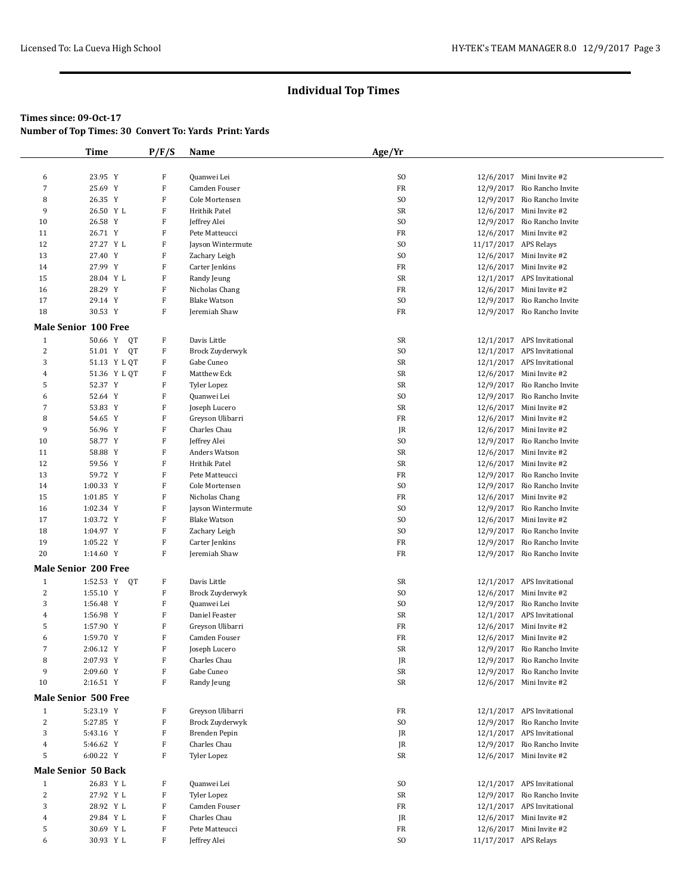# **Times since: 09-Oct-17**

**Number of Top Times: 30 Convert To: Yards Print: Yards**

|                  | <b>Time</b>                 | P/F/S       | Name                | Age/Yr          |                       |                             |
|------------------|-----------------------------|-------------|---------------------|-----------------|-----------------------|-----------------------------|
|                  |                             |             |                     |                 |                       |                             |
| 6                | 23.95 Y                     | F           | Quanwei Lei         | S <sub>O</sub>  |                       | 12/6/2017 Mini Invite #2    |
| $\boldsymbol{7}$ | 25.69 Y                     | $\mathbf F$ | Camden Fouser       | FR              |                       | 12/9/2017 Rio Rancho Invite |
| 8                |                             | $\rm F$     |                     | SO <sub>1</sub> |                       |                             |
|                  | 26.35 Y                     |             | Cole Mortensen      |                 |                       | 12/9/2017 Rio Rancho Invite |
| 9                | 26.50 Y L                   | F           | Hrithik Patel       | SR              |                       | 12/6/2017 Mini Invite #2    |
| 10               | 26.58 Y                     | ${\bf F}$   | Jeffrey Alei        | SO.             |                       | 12/9/2017 Rio Rancho Invite |
| 11               | 26.71 Y                     | F           | Pete Matteucci      | FR              |                       | 12/6/2017 Mini Invite #2    |
| 12               | 27.27 Y L                   | F           | Jayson Wintermute   | SO.             | 11/17/2017 APS Relays |                             |
| 13               | 27.40 Y                     | ${\bf F}$   | Zachary Leigh       | SO <sub>1</sub> |                       | 12/6/2017 Mini Invite #2    |
| 14               | 27.99 Y                     | F           | Carter Jenkins      | FR              |                       | 12/6/2017 Mini Invite #2    |
| 15               | 28.04 Y L                   | F           | Randy Jeung         | SR              |                       | 12/1/2017 APS Invitational  |
| 16               | 28.29 Y                     | $\rm F$     | Nicholas Chang      | FR              |                       | 12/6/2017 Mini Invite #2    |
| 17               | 29.14 Y                     | F           | <b>Blake Watson</b> | SO <sub>1</sub> |                       | 12/9/2017 Rio Rancho Invite |
| 18               | 30.53 Y                     | F           | Jeremiah Shaw       | FR              |                       | 12/9/2017 Rio Rancho Invite |
|                  |                             |             |                     |                 |                       |                             |
|                  | <b>Male Senior 100 Free</b> |             |                     |                 |                       |                             |
| $\mathbf{1}$     | 50.66 Y<br>QT               | F           | Davis Little        | SR              |                       | 12/1/2017 APS Invitational  |
| $\sqrt{2}$       | 51.01 Y<br>QT               | F           | Brock Zuyderwyk     | SO.             |                       | 12/1/2017 APS Invitational  |
| 3                | 51.13 Y L QT                | F           | Gabe Cuneo          | SR              |                       | 12/1/2017 APS Invitational  |
| $\overline{4}$   | 51.36 Y L QT                | F           | Matthew Eck         | SR              |                       | 12/6/2017 Mini Invite #2    |
| 5                | 52.37 Y                     | ${\bf F}$   | Tyler Lopez         | SR              |                       | 12/9/2017 Rio Rancho Invite |
| 6                |                             | $\mathbf F$ |                     | SO <sub>1</sub> |                       |                             |
|                  | 52.64 Y                     |             | Quanwei Lei         |                 |                       | 12/9/2017 Rio Rancho Invite |
| 7                | 53.83 Y                     | F           | Joseph Lucero       | SR              |                       | 12/6/2017 Mini Invite #2    |
| 8                | 54.65 Y                     | ${\bf F}$   | Greyson Ulibarri    | FR              |                       | 12/6/2017 Mini Invite #2    |
| 9                | 56.96 Y                     | $\mathbf F$ | Charles Chau        | JR              |                       | 12/6/2017 Mini Invite #2    |
| 10               | 58.77 Y                     | F           | Jeffrey Alei        | S <sub>O</sub>  |                       | 12/9/2017 Rio Rancho Invite |
| 11               | 58.88 Y                     | ${\bf F}$   | Anders Watson       | SR              |                       | 12/6/2017 Mini Invite #2    |
| 12               | 59.56 Y                     | F           | Hrithik Patel       | SR              |                       | 12/6/2017 Mini Invite #2    |
| 13               | 59.72 Y                     | F           | Pete Matteucci      | FR              |                       | 12/9/2017 Rio Rancho Invite |
| 14               | 1:00.33 Y                   | $\mathbf F$ | Cole Mortensen      | SO.             |                       | 12/9/2017 Rio Rancho Invite |
| 15               | 1:01.85 Y                   | F           | Nicholas Chang      | FR              |                       | 12/6/2017 Mini Invite #2    |
| 16               | 1:02.34 Y                   | F           | Jayson Wintermute   | S <sub>O</sub>  |                       | 12/9/2017 Rio Rancho Invite |
| 17               |                             | $\mathbf F$ |                     | S <sub>O</sub>  |                       | 12/6/2017 Mini Invite #2    |
|                  | 1:03.72 Y                   |             | <b>Blake Watson</b> |                 |                       |                             |
| 18               | 1:04.97 Y                   | F           | Zachary Leigh       | S <sub>O</sub>  |                       | 12/9/2017 Rio Rancho Invite |
| 19               | 1:05.22 Y                   | $\mathbf F$ | Carter Jenkins      | FR              |                       | 12/9/2017 Rio Rancho Invite |
| 20               | 1:14.60 Y                   | $\rm F$     | Jeremiah Shaw       | FR              |                       | 12/9/2017 Rio Rancho Invite |
|                  | <b>Male Senior 200 Free</b> |             |                     |                 |                       |                             |
| $\mathbf{1}$     | 1:52.53 Y QT                | F           | Davis Little        | SR              |                       | 12/1/2017 APS Invitational  |
|                  |                             |             |                     |                 |                       |                             |
| $\sqrt{2}$       | 1:55.10 Y                   | $\mathbf F$ | Brock Zuyderwyk     | S <sub>O</sub>  |                       | 12/6/2017 Mini Invite #2    |
| 3                | 1:56.48 Y                   | F           | Quanwei Lei         | S <sub>O</sub>  |                       | 12/9/2017 Rio Rancho Invite |
| $\overline{4}$   | 1:56.98 Y                   | $\rm F$     | Daniel Feaster      | SR              |                       | 12/1/2017 APS Invitational  |
| 5                | 1:57.90 Y                   | F           | Greyson Ulibarri    | FR              |                       | 12/6/2017 Mini Invite #2    |
| 6                | 1:59.70 Y                   | F           | Camden Fouser       | FR              |                       | 12/6/2017 Mini Invite #2    |
| $\sqrt{2}$       | 2:06.12 Y                   | $\rm F$     | Joseph Lucero       | SR              |                       | 12/9/2017 Rio Rancho Invite |
| 8                | 2:07.93 Y                   | $\mathbf F$ | Charles Chau        | JR              |                       | 12/9/2017 Rio Rancho Invite |
| 9                | 2:09.60 Y                   | F           | Gabe Cuneo          | SR              |                       | 12/9/2017 Rio Rancho Invite |
| 10               | 2:16.51 Y                   | $\mathbf F$ | Randy Jeung         | SR              |                       | 12/6/2017 Mini Invite #2    |
|                  |                             |             |                     |                 |                       |                             |
|                  | <b>Male Senior 500 Free</b> |             |                     |                 |                       |                             |
| $\mathbf{1}$     | 5:23.19 Y                   | F           | Greyson Ulibarri    | FR              |                       | 12/1/2017 APS Invitational  |
| $\sqrt{2}$       | 5:27.85 Y                   | $\mathbf F$ | Brock Zuyderwyk     | SO.             |                       | 12/9/2017 Rio Rancho Invite |
| 3                | 5:43.16 Y                   | F           | Brenden Pepin       | JR              |                       | 12/1/2017 APS Invitational  |
| $\overline{4}$   | 5:46.62 Y                   | F           | Charles Chau        | JR              |                       | 12/9/2017 Rio Rancho Invite |
| 5                | 6:00.22 Y                   | F           | Tyler Lopez         | SR              |                       | 12/6/2017 Mini Invite #2    |
|                  |                             |             |                     |                 |                       |                             |
|                  | <b>Male Senior 50 Back</b>  |             |                     |                 |                       |                             |
| $\mathbf{1}$     | 26.83 Y L                   | $\mathbf F$ | Quanwei Lei         | ${\rm S0}$      |                       | 12/1/2017 APS Invitational  |
| $\sqrt{2}$       | 27.92 Y L                   | F           | <b>Tyler Lopez</b>  | SR              |                       | 12/9/2017 Rio Rancho Invite |
| 3                | 28.92 Y L                   | F           | Camden Fouser       | FR              |                       | 12/1/2017 APS Invitational  |
| $\overline{4}$   | 29.84 Y L                   | $\mathbf F$ | Charles Chau        | JR              |                       | 12/6/2017 Mini Invite #2    |
| 5                | 30.69 Y L                   | F           | Pete Matteucci      | FR              |                       | 12/6/2017 Mini Invite #2    |
| 6                |                             | F           |                     | S <sub>O</sub>  | 11/17/2017 APS Relays |                             |
|                  | 30.93 Y L                   |             | Jeffrey Alei        |                 |                       |                             |